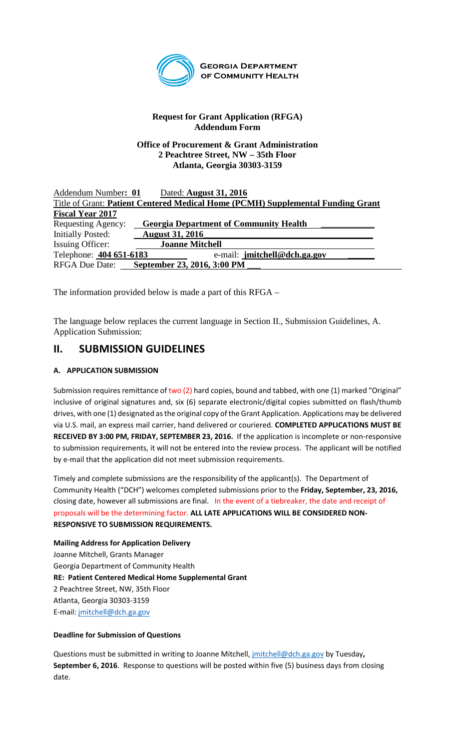

**GEORGIA DEPARTMENT** OF COMMUNITY HEALTH

# **Request for Grant Application (RFGA) Addendum Form**

#### **Office of Procurement & Grant Administration 2 Peachtree Street, NW – 35th Floor Atlanta, Georgia 30303-3159**

| Addendum Number: 01                                                             | Dated: August 31, 2016                        |
|---------------------------------------------------------------------------------|-----------------------------------------------|
| Title of Grant: Patient Centered Medical Home (PCMH) Supplemental Funding Grant |                                               |
| <b>Fiscal Year 2017</b>                                                         |                                               |
| Requesting Agency:                                                              | <b>Georgia Department of Community Health</b> |
| Initially Posted:                                                               | <b>August 31, 2016</b>                        |
| Issuing Officer:                                                                | <b>Joanne Mitchell</b>                        |
| Telephone: 404 651-6183                                                         | e-mail: jmitchell@dch.ga.gov                  |
| <b>RFGA Due Date:</b>                                                           | September 23, 2016, 3:00 PM                   |

The information provided below is made a part of this RFGA –

The language below replaces the current language in Section II., Submission Guidelines, A. Application Submission:

# **II. SUBMISSION GUIDELINES**

## **A. APPLICATION SUBMISSION**

Submission requires remittance of two (2) hard copies, bound and tabbed, with one (1) marked "Original" inclusive of original signatures and, six (6) separate electronic/digital copies submitted on flash/thumb drives, with one (1) designated as the original copy of the Grant Application. Applications may be delivered via U.S. mail, an express mail carrier, hand delivered or couriered. **COMPLETED APPLICATIONS MUST BE RECEIVED BY 3:00 PM, FRIDAY, SEPTEMBER 23, 2016.** If the application is incomplete or non-responsive to submission requirements, it will not be entered into the review process. The applicant will be notified by e-mail that the application did not meet submission requirements.

Timely and complete submissions are the responsibility of the applicant(s). The Department of Community Health ("DCH") welcomes completed submissions prior to the **Friday, September, 23, 2016,** closing date, however all submissions are final. In the event of a tiebreaker, the date and receipt of proposals will be the determining factor. **ALL LATE APPLICATIONS WILL BE CONSIDERED NON-RESPONSIVE TO SUBMISSION REQUIREMENTS.** 

**Mailing Address for Application Delivery** Joanne Mitchell, Grants Manager Georgia Department of Community Health **RE: Patient Centered Medical Home Supplemental Grant** 2 Peachtree Street, NW, 35th Floor Atlanta, Georgia 30303-3159 E-mail: [jmitchell@dch.ga.gov](mailto:jmitchell@dch.ga.gov)

### **Deadline for Submission of Questions**

Questions must be submitted in writing to Joanne Mitchell, [jmitchell@dch.ga.gov](mailto:jmitchell@dch.ga.gov) by Tuesday**, September 6, 2016**. Response to questions will be posted within five (5) business days from closing date.